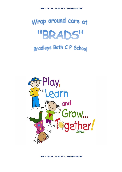# Wrap around care at "BRADS" Bradleys Both C P School



*LIFE - LEARN. INSPIRE.FLOURISH.ENGAGE*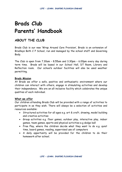## **Brads Club Parents' Handbook**

### **ABOUT THE CLUB**

Brads Club is our new 'Wrap Around Care Provision', Brads is an extension of Bradleys Both C P School, run and managed by the school staff and Governing Body.

The Club is open from 7.30am – 8.55am and 3.30pm – 6.00pm every day during term time. Brads will be based in our School Hall, DT Room, Library and Reflection room. Our school's outdoor facilities will also be used weather permitting.

#### **Brads Mission**

At Brads we offer a safe, positive and enthusiastic environment where our children can interact with others, engage in stimulating activities and develop their independence. We are an all-inclusive facility which celebrates the unique qualities of each individual.

#### **What we offer**

Our children attending Brads Club will be provided with a range of activities to participate in as they wish. There will always be a selection of activities and resources available:

- Structured activities for all ages e.g. art & craft, drawing, model building and creative activities
- Group activities e.g. floor games, outdoor play, interactive play, indoor games, team games, sports and physical activities e.g dodge ball
- Free Play, where the children decide what they want to do e.g. quiet time, board games, reading, supervised use of computers
- A daily opportunity will be provided for the children to do their homework after school.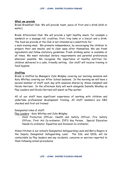#### **What we provide**

Brads Breakfast Club: We will provide toast, piece of fruit and a drink (milk or water).

Brads Afterschool Club: We will provide a light healthy snack, for example a sandwich or a sausage roll, crudities, fruit, tray bake or a biscuit and a drink. The food we provide at the Club is not intended as a substitute for

a main evening meal. We promote independence, by encouraging the children to prepare their own snacks, and to clear away after themselves. We use fresh ingredients and follow statutory guidelines. Fresh drinking water is available at all times. We meet individual dietary requirements and parental preferences wherever possible. We recognise the importance of healthy nutrition for children delivered in a calm, friendly setting. Our staff will receive training in food hygiene.

#### **Staffing**

Brads is staffed by Managers Julie Midgley covering our morning sessions and Katy Whitley covering our After School sessions. In the morning we will have a second member of staff each day with sessions shared by Alison Campbell and Nicola Harrison. In the afternoon Katy will work alongside Danielle Woolley as Play Leaders and Nicola Harrison will assist as Play worker.

All of our staff have significant experience of working with children and undertake professional development training. All staff members are DBS checked and first aid trained

Designated roles of staff:

Play Leaders - Katy Whitley and Julie Midgley

- Child Protection Officer, Health and Safety Officer, Fire Safety Officer, First Aid Co-ordinator, EYFS Key Person, Special Education Needs Co-ordinator, Equalities and Inclusion Co-ordinator,

Alison Hitchen is our school's Designated Safeguarding Lead and Barry Rogers is the Deputy Designated Safeguarding Lead. The DSL and DDSL will be contactable by Play leaders and any incidents, concerns or worries reported to them following school procedures.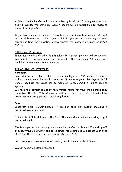A School Senior Leader will be contactable by Brads staff during every session and will oversee the provision. Senior leaders will be responsible to reviewing the quality of provision.

If you have a query or concern at any time, please speak to a member of staff at the club when you collect your child. If you prefer to arrange a more convenient time for a meeting please contact the manager at Brads on 01535 633116.

#### **Policies and Procedures**

Brads has clearly defined within Bradleys Both school policies and procedures. Key points of the main policies are included in this Handbook. All policies are available to view on our school website.

#### **TERMS AND CONDITIONS**

#### **Admission**

Brads Club is accessible to children from Bradleys Both C P School. Admission to Brads is organised by Sarah Kirwin the Office Manager at Bradleys Both C P School, bookings for Brads can be made via Schoolcomms, an online booking system.

We require a completed set of registration forms for your child before they can attend the club. This information will be treated as confidential and will be stored appropriately following GDPR regulations.

#### **Fees**

Breakfast Club (7.30am-8.55am) £4.50 per child per session including a breakfast snack and drink

After School Club (3.30pm-6.00pm) £8.50 per child per session including a light snack and drink

The fee is per session per day, we are unable to offer a discount if you drop off or collect your child within the above times, for example if you collect your child at 5.00pm the cost for that session will still be £8.50.

Fees are payable in advance when booking any session on 'School Comms'.

We can accept childcare vouchers.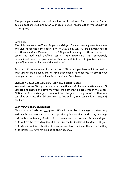The price per session per child applies to all children. This is payable for all booked sessions including when your child is sick (regardless of the amount of notice given).

#### **Late Fees**

The club finishes at 6.00pm. If you are delayed for any reason please telephone the Club to let the Play leader know on 01535 633116. A late payment fee of £5.00 per child per 15 minutes after 6.00pm will be charged. These fees are to cover the additional staffing costs. We appreciate that occasionally emergencies occur, but please understand we will still have to pay two members of staff to stay until your child is collected.

If your child remains uncollected after 6.30pm and you have not informed us that you will be delayed, and we have been unable to reach you or any of your emergency contacts, we will contact the Social Care team.

#### **Changes to days and cancelling your pre-booked places**

You must give us 30 days' notice of termination or of changes in attendance. If you need to change the days that your child attends, please contact the School Office or Brads Manager. You will be charged for any sessions that are cancelled with less than 30 days' notice. We will try to accommodate changes if possible.

#### **Last Minute changes/bookings**

Please note refunds are not given. We will be unable to change or refund any last minute sessions that have been previously booked due to staffing coverage and numbers attending Brads. Please remember that we need to know if your child will not be attending the Club for any reason (sickness, holidays). If your child doesn't attend a booked session, we will have to treat them as a 'missing child' unless you have notified us of their absence.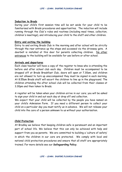#### **Induction to Brads**

During your child's first session time will be set aside for your child to be familiarised with Brads procedures and opportunities. The induction will include running through the Club's rules and routines (including meal times, collection, children's meetings), and introducing your child to the staff and other children.

#### **Entry and exiting the building**

Entry to and exiting Brads Club in the morning and after school will be strictly through the rear entrance up the steps and accessed via the driveway gate. A doorbell is installed at this door for parents collecting children. No other entrances to the building will be available for use before or after school.

#### **Arrivals and departures**

Each class teacher will have a copy of the register to know who is attending the before and after school club each day. Children must be accompanied to be dropped off at Brads Breakfast Club, doors will open at 7.30am, and children are not allowed to turn up unaccompanied they must be signed in each morning. At 8.55am Brads staff will escort the children to line up in the playground. The children attending the after school club will be collected from their classes at 3.30pm and then taken to Brads.

A register will be taken when your children arrive in our care; you will be asked to sign your child in and out each day at drop off and collection.

We expect that your child will be collected by the people you have named on your child's Admission Form. If you need a different person to collect your child on a particular day you must notify us in advance. We will not release your child into the care of a person unknown to us without your authorisation.

#### **Child Protection**

At Bradley we believe that keeping children safe is paramount and an important part of school life. We believe that this can only be achieved with help and support from you as parents. We are committed to building a 'culture of safety' in which the children in our care are protected. We comply with local and national child protection procedures and ensure that all staff are appropriately trained. For more details see our **Safeguarding Policy**.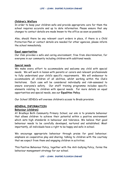#### **Children's Welfare**

In order to keep your children safe and provide appropriate care for them the school requires accurate and up to date information. Please ensure that any changes to contact details are made known to the office as soon as possible.

Also, should there be any relevant court orders in place, if there is a Child Protection Plan or contact details are needed for other agencies, please inform the school immediately.

#### **Equal opportunities**

Our Club provides a safe and caring environment, free from discrimination, for everyone in our community including children with additional needs.

#### **Special needs**

We make every effort to accommodate and welcome any child with special needs. We will work in liaison with parents or carers and relevant professionals to fully understand your child's specific requirements. We will endeavour to accommodate all children of all abilities, whilst working within the Club's limitations. Each case will be considered individually and risk-assessed to ensure everyone's safety. Our staff training programme includes specific elements relating to children with special needs. For more details on equal opportunities and special needs, see our **Equalities Policy**.

Our School SENDCo will oversee children's access to Brads provision.

#### **GENERAL INFORMATION**

#### **Behaviour (children)**

At Bradleys Both Community Primary School, our aim is to promote behaviour that allows children to achieve their potential within a positive environment which sets high standards in behaviour and tolerance. We believe that good behaviour needs to be carefully developed, nurtured and established. Most importantly, all individuals have a right to be happy and safe in school.

We encourage appropriate behaviour through praise for good behaviour; emphasis on cooperative play and sharing; talking to children with the courtesy that we expect from them and engaging children in activities.

This Positive Behaviour Policy, together with the Anti-bullying Policy, forms the behaviour management strategy for our school.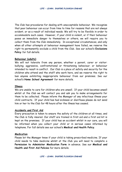The Club has procedures for dealing with unacceptable behaviour. We recognise that poor behaviour can occur from time to time for reasons that are not always evident, or as a result of individual needs. We will try to be flexible in order to accommodate such cases. However, if your child is violent, or if their behaviour poses an immediate danger to themselves or others, we will require you to collect them from the Club immediately. In exceptional circumstances, and only when all other attempts at behaviour management have failed, we reserve the right to permanently exclude a child from the Club. See our school's **Exclusions Policy** for full details.

#### **Behaviour (adults)**

We will not tolerate from any person, whether a parent, carer or visitor: bullying; aggressive, confrontational or threatening behaviour; or behaviour intended to result in conflict. Our Club is a place of safety and security for the children who attend and the staff who work here, and we reserve the right to ban anyone exhibiting inappropriate behaviour from our premises. See our school's **Home School Agreement** for more details.

#### **Illness**

We are unable to care for children who are unwell. If your child becomes unwell whilst at the Club we will contact you and ask you to make arrangements for them to be collected. Please inform the Manager of any infectious illness your child contracts. If your child has had sickness or diarrhoea please do not send him or her to the Club for 48 hours after the illness has ceased.

#### **Accidents and First Aid**

Every precaution is taken to ensure the safety of the children at all times, and the Club is fully insured. Our staff are trained in first aid and a first aid kit is kept on the premises. If your child has an accident whilst in our care, you will be informed when you collect your child or in serious cases informed by telephone. For full details see our school's **Medical and Health Policy**.

#### **Medication**

Please let the Manager know if your child is taking prescribed medicine. If your child needs to take medicine whilst at the Club you will need to complete a **Permission to Administer Medication Form** in advance. See our **Medical and Health and First Aid Policies** for more details.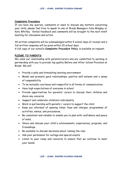#### **Complaints Procedure**

If you have any queries, comments or need to discuss any matters concerning your child, please feel free to speak to one of Brads Managers Julie Midgley or Katy Whitley. Verbal feedback and comments will be brought to the next staff meeting for discussion and action.

All written complaints will be acknowledged within 5 school days of receipt and a full written response will be given within 20 school days.

A full copy of our school's **Complaints Procedure Policy** is available on request.

#### **PLEDGE TO PARENTS**

We value our relationship with parents/carers and are committed to working in partnership with you to provide top quality Before and After School Provision at Brads. We will:

- Provide a safe and stimulating learning environment
- Model and promote good relationships, positive self-esteem and a sense of responsibility
- To be mutually courteous and respectful in all forms of communication.
- Have high expectations of everyone in school
- Provide opportunities for parents/ carers to discuss their children and share any concerns
- Support and celebrate children's individuality
- Work in partnership with parents / carers to support the child
- Keep you informed of opening times, fees and charges, programmes of activities, menus, and procedures.
- Be consistent and reliable to enable you to plan with confidence and peace of mind.
- Share and discuss your child's achievements, experiences, progress, and friendships.
- Be available to discuss decisions about running the club.
- Ask your permission for outings and special events.
- Listen to your views and concerns to ensure that we continue to meet your needs.